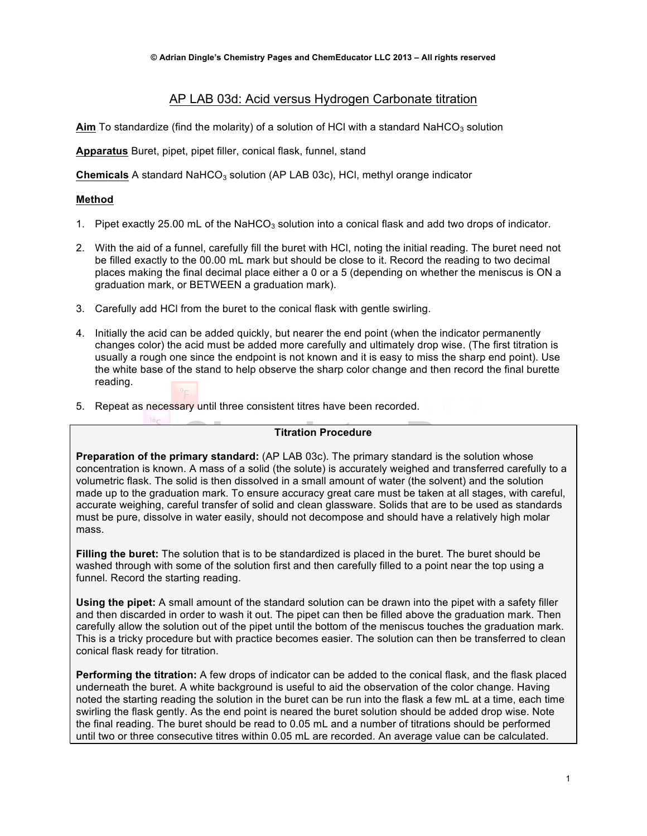# AP LAB 03d: Acid versus Hydrogen Carbonate titration

Aim To standardize (find the molarity) of a solution of HCl with a standard NaHCO<sub>3</sub> solution

**Apparatus** Buret, pipet, pipet filler, conical flask, funnel, stand

**Chemicals** A standard NaHCO<sub>3</sub> solution (AP LAB 03c), HCl, methyl orange indicator

## **Method**

- 1. Pipet exactly 25.00 mL of the NaHCO<sub>3</sub> solution into a conical flask and add two drops of indicator.
- 2. With the aid of a funnel, carefully fill the buret with HCl, noting the initial reading. The buret need not be filled exactly to the 00.00 mL mark but should be close to it. Record the reading to two decimal places making the final decimal place either a 0 or a 5 (depending on whether the meniscus is ON a graduation mark, or BETWEEN a graduation mark).
- 3. Carefully add HCl from the buret to the conical flask with gentle swirling.
- 4. Initially the acid can be added quickly, but nearer the end point (when the indicator permanently changes color) the acid must be added more carefully and ultimately drop wise. (The first titration is usually a rough one since the endpoint is not known and it is easy to miss the sharp end point). Use the white base of the stand to help observe the sharp color change and then record the final burette reading.
- 5. Repeat as necessary until three consistent titres have been recorded.

#### **Titration Procedure**

**Preparation of the primary standard:** (AP LAB 03c). The primary standard is the solution whose concentration is known. A mass of a solid (the solute) is accurately weighed and transferred carefully to a volumetric flask. The solid is then dissolved in a small amount of water (the solvent) and the solution made up to the graduation mark. To ensure accuracy great care must be taken at all stages, with careful, accurate weighing, careful transfer of solid and clean glassware. Solids that are to be used as standards must be pure, dissolve in water easily, should not decompose and should have a relatively high molar mass.

**Filling the buret:** The solution that is to be standardized is placed in the buret. The buret should be washed through with some of the solution first and then carefully filled to a point near the top using a funnel. Record the starting reading.

**Using the pipet:** A small amount of the standard solution can be drawn into the pipet with a safety filler and then discarded in order to wash it out. The pipet can then be filled above the graduation mark. Then carefully allow the solution out of the pipet until the bottom of the meniscus touches the graduation mark. This is a tricky procedure but with practice becomes easier. The solution can then be transferred to clean conical flask ready for titration.

**Performing the titration:** A few drops of indicator can be added to the conical flask, and the flask placed underneath the buret. A white background is useful to aid the observation of the color change. Having noted the starting reading the solution in the buret can be run into the flask a few mL at a time, each time swirling the flask gently. As the end point is neared the buret solution should be added drop wise. Note the final reading. The buret should be read to 0.05 mL and a number of titrations should be performed until two or three consecutive titres within 0.05 mL are recorded. An average value can be calculated.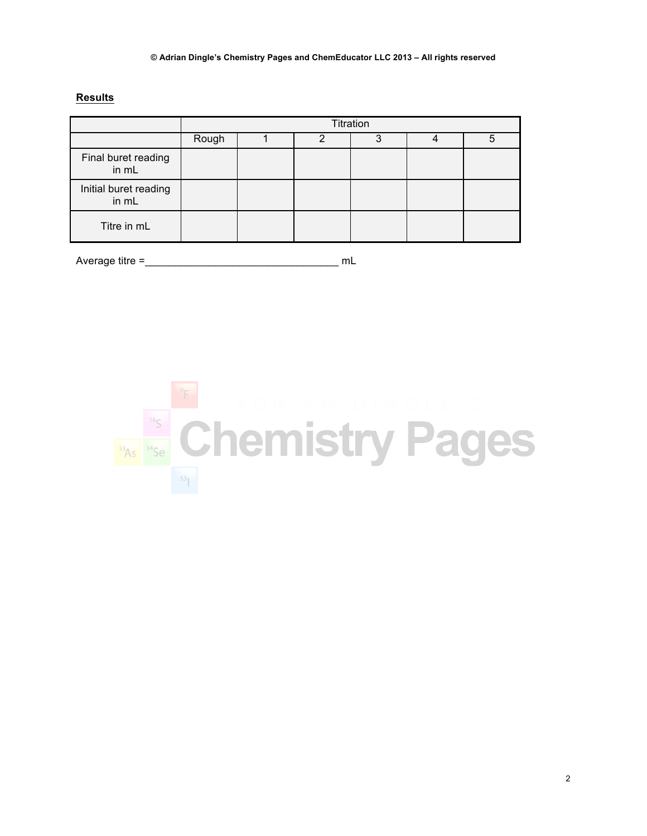## **Results**

|                                | Titration |  |   |         |  |   |
|--------------------------------|-----------|--|---|---------|--|---|
|                                | Rough     |  | າ | ິ<br>د، |  | 5 |
| Final buret reading<br>in mL   |           |  |   |         |  |   |
| Initial buret reading<br>in mL |           |  |   |         |  |   |
| Titre in mL                    |           |  |   |         |  |   |

Average titre = The music of the music of the music music music music music music music music music music music music music music music music music music music music music music music music music music music music music mu